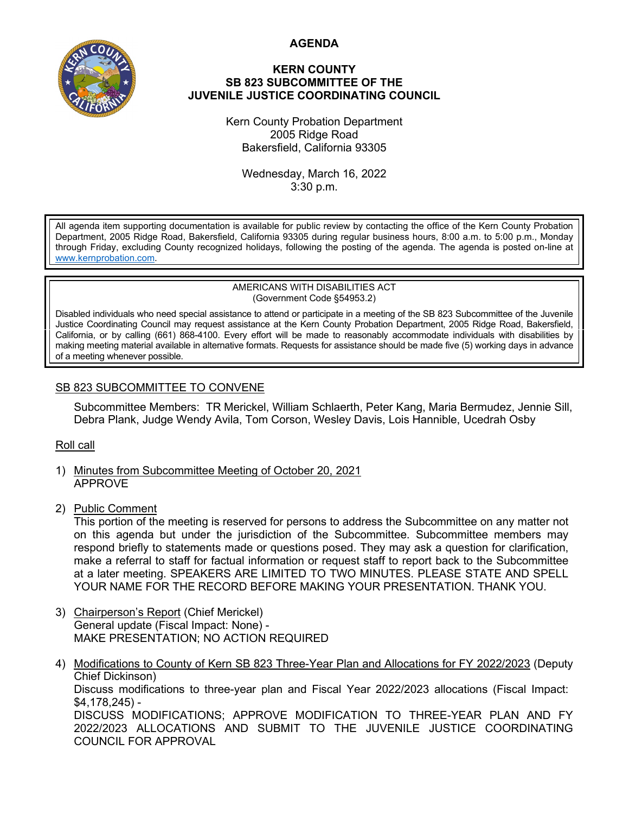**AGENDA**



## **KERN COUNTY SB 823 SUBCOMMITTEE OF THE JUVENILE JUSTICE COORDINATING COUNCIL**

Kern County Probation Department 2005 Ridge Road Bakersfield, California 93305

Wednesday, March 16, 2022 3:30 p.m.

All agenda item supporting documentation is available for public review by contacting the office of the Kern County Probation Department, 2005 Ridge Road, Bakersfield, California 93305 during regular business hours, 8:00 a.m. to 5:00 p.m., Monday through Friday, excluding County recognized holidays, following the posting of the agenda. The agenda is posted on-line at [www.kernprobation.com.](http://www.kernprobation.com/)

> AMERICANS WITH DISABILITIES ACT (Government Code §54953.2)

Disabled individuals who need special assistance to attend or participate in a meeting of the SB 823 Subcommittee of the Juvenile Justice Coordinating Council may request assistance at the Kern County Probation Department, 2005 Ridge Road, Bakersfield, California, or by calling (661) 868-4100. Every effort will be made to reasonably accommodate individuals with disabilities by making meeting material available in alternative formats. Requests for assistance should be made five (5) working days in advance of a meeting whenever possible.

## SB 823 SUBCOMMITTEE TO CONVENE

Subcommittee Members: TR Merickel, William Schlaerth, Peter Kang, Maria Bermudez, Jennie Sill, Debra Plank, Judge Wendy Avila, Tom Corson, Wesley Davis, Lois Hannible, Ucedrah Osby

## Roll call

- 1) Minutes from Subcommittee Meeting of October 20, 2021 APPROVE
- 2) Public Comment

This portion of the meeting is reserved for persons to address the Subcommittee on any matter not on this agenda but under the jurisdiction of the Subcommittee. Subcommittee members may respond briefly to statements made or questions posed. They may ask a question for clarification, make a referral to staff for factual information or request staff to report back to the Subcommittee at a later meeting. SPEAKERS ARE LIMITED TO TWO MINUTES. PLEASE STATE AND SPELL YOUR NAME FOR THE RECORD BEFORE MAKING YOUR PRESENTATION. THANK YOU.

- 3) Chairperson's Report (Chief Merickel) General update (Fiscal Impact: None) - MAKE PRESENTATION; NO ACTION REQUIRED
- 4) Modifications to County of Kern SB 823 Three-Year Plan and Allocations for FY 2022/2023 (Deputy Chief Dickinson) Discuss modifications to three-year plan and Fiscal Year 2022/2023 allocations (Fiscal Impact: \$4,178,245) - DISCUSS MODIFICATIONS; APPROVE MODIFICATION TO THREE-YEAR PLAN AND FY 2022/2023 ALLOCATIONS AND SUBMIT TO THE JUVENILE JUSTICE COORDINATING COUNCIL FOR APPROVAL